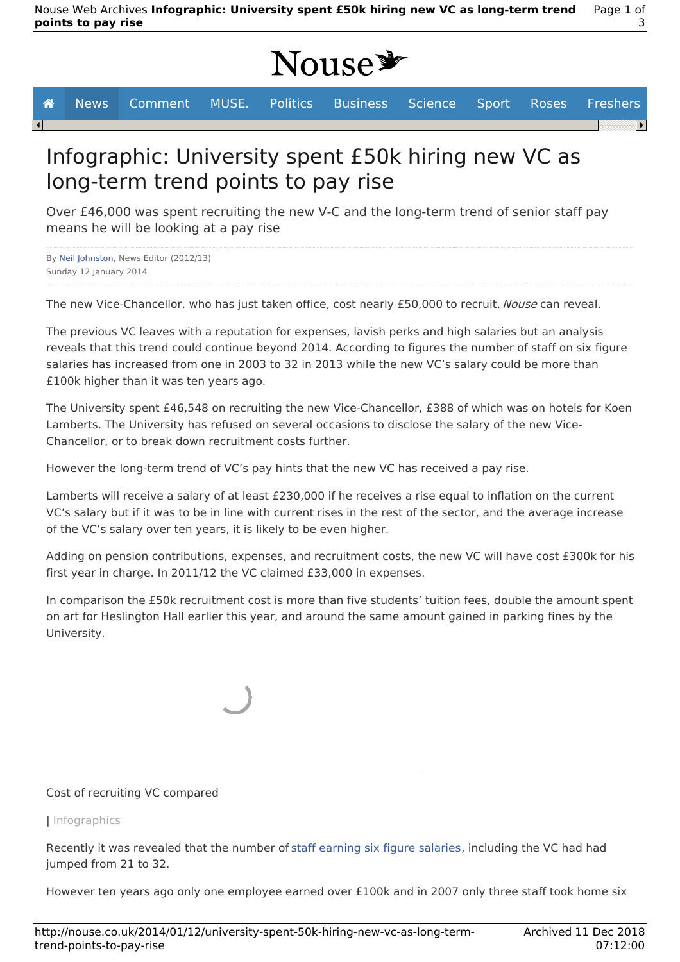# Nouse<sup>y</sup>

 $\overline{\mathbf{A}}$ 

**A** News Comment MUSE. Politics Business Science Sport Roses Freshers

## Infographic: University spent £50k hiring new VC as long-term trend points to pay rise

Over £46,000 was spent recruiting the new V-C and the long-term trend of senior staff pay means he will be looking at a pay rise

By Neil Johnston, News Editor (2012/13) Sunday 12 January 2014

The new Vice-Chancellor, who has just taken office, cost nearly £50,000 to recruit, Nouse can reveal.

The previous VC leaves with a reputation for expenses, lavish perks and high salaries but an analysis reveals that this trend could continue beyond 2014. According to figures the number of staff on six figure salaries has increased from one in 2003 to 32 in 2013 while the new VC's salary could be more than £100k higher than it was ten years ago.

The University spent £46,548 on recruiting the new Vice-Chancellor, £388 of which was on hotels for Koen Lamberts. The University has refused on several occasions to disclose the salary of the new Vice-Chancellor, or to break down recruitment costs further.

However the long-term trend of VC's pay hints that the new VC has received a pay rise.

Lamberts will receive a salary of at least £230,000 if he receives a rise equal to inflation on the current VC's salary but if it was to be in line with current rises in the rest of the sector, and the average increase of the VC's salary over ten years, it is likely to be even higher.

Adding on pension contributions, expenses, and recruitment costs, the new VC will have cost £300k for his first year in charge. In 2011/12 the VC claimed £33,000 in expenses.

In comparison the £50k recruitment cost is more than five students' tuition fees, double the amount spent on art for Heslington Hall earlier this year, and around the same amount gained in parking fines by the University.

## Cost of recruiting VC compared

## | Infographics

Recently it was revealed that the number of staff earning six figure salaries, including the VC had had jumped from 21 to 32.

However ten years ago only one employee earned over £100k and in 2007 only three staff took home six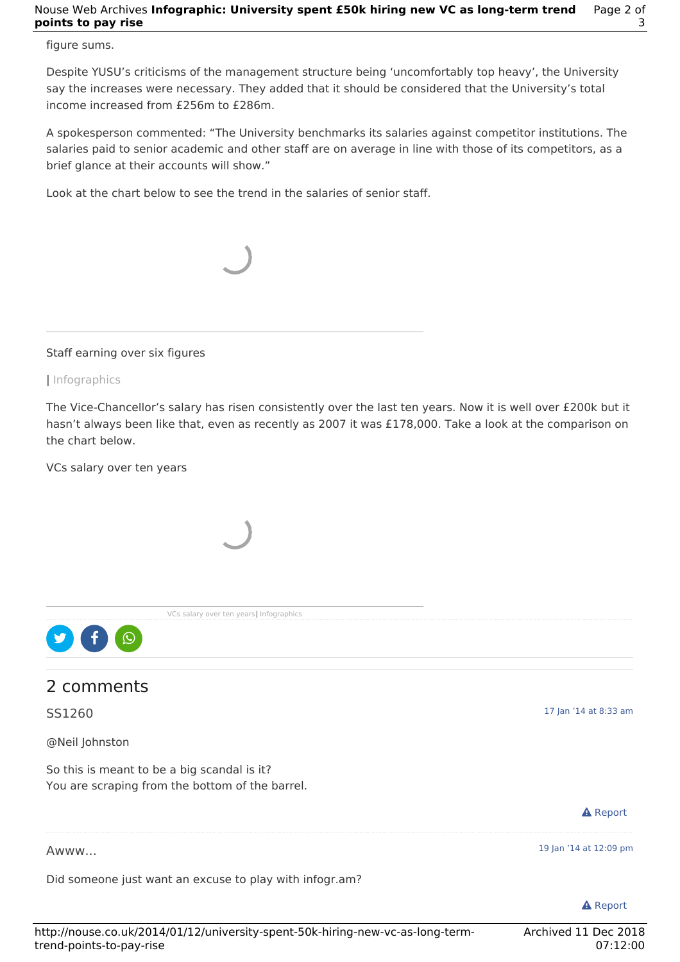#### Nouse Web Archives **Infographic: University spent £50k hiring new VC as long-term trend points to pay rise** Page 2 of 3

### figure sums.

Despite YUSU's criticisms of the management structure being 'uncomfortably top heavy', the University say the increases were necessary. They added that it should be considered that the University's total income increased from £256m to £286m.

A spokesperson commented: "The University benchmarks its salaries against competitor institutions. The salaries paid to senior academic and other staff are on average in line with those of its competitors, as a brief glance at their accounts will show."

Look at the chart below to see the trend in the salaries of senior staff.



Staff earning over six figures

| Infographics

The Vice-Chancellor's salary has risen consistently over the last ten years. Now it is well over £200k but it hasn't always been like that, even as recently as 2007 it was £178,000. Take a look at the comparison on the chart below.

VCs salary over ten years



Awww...

Did someone just want an excuse to play with infogr.am?

**A** Report

19 Jan '14 at 12:09 pm